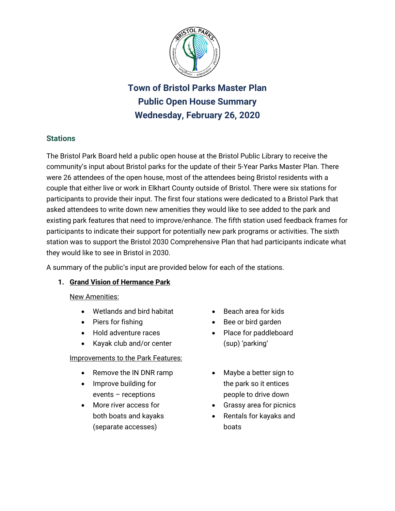

**Town of Bristol Parks Master Plan Public Open House Summary Wednesday, February 26, 2020**

# **Stations**

The Bristol Park Board held a public open house at the Bristol Public Library to receive the community's input about Bristol parks for the update of their 5-Year Parks Master Plan. There were 26 attendees of the open house, most of the attendees being Bristol residents with a couple that either live or work in Elkhart County outside of Bristol. There were six stations for participants to provide their input. The first four stations were dedicated to a Bristol Park that asked attendees to write down new amenities they would like to see added to the park and existing park features that need to improve/enhance. The fifth station used feedback frames for participants to indicate their support for potentially new park programs or activities. The sixth station was to support the Bristol 2030 Comprehensive Plan that had participants indicate what they would like to see in Bristol in 2030.

A summary of the public's input are provided below for each of the stations.

## **1. Grand Vision of Hermance Park**

## New Amenities:

- Wetlands and bird habitat
- Piers for fishing
- Hold adventure races
- Kayak club and/or center

## Improvements to the Park Features:

- Remove the IN DNR ramp
- Improve building for events – receptions
- More river access for both boats and kayaks (separate accesses)
- Beach area for kids
- Bee or bird garden
- Place for paddleboard (sup) 'parking'
- Maybe a better sign to the park so it entices people to drive down
- Grassy area for picnics
- Rentals for kayaks and boats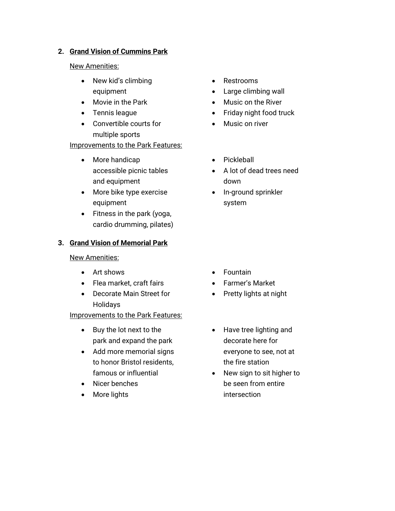#### **2. Grand Vision of Cummins Park**

#### New Amenities:

- New kid's climbing equipment
- Movie in the Park
- Tennis league
- Convertible courts for multiple sports

## Improvements to the Park Features:

- More handicap accessible picnic tables and equipment
- More bike type exercise equipment
- Fitness in the park (yoga, cardio drumming, pilates)

## **3. Grand Vision of Memorial Park**

#### New Amenities:

- Art shows
- Flea market, craft fairs
- Decorate Main Street for Holidays

Improvements to the Park Features:

- Buy the lot next to the park and expand the park
- Add more memorial signs to honor Bristol residents, famous or influential
- Nicer benches
- More lights
- Restrooms
- Large climbing wall
- Music on the River
- Friday night food truck
- Music on river
- Pickleball
- A lot of dead trees need down
- In-ground sprinkler system

- Fountain
- Farmer's Market
- Pretty lights at night
- Have tree lighting and decorate here for everyone to see, not at the fire station
- New sign to sit higher to be seen from entire intersection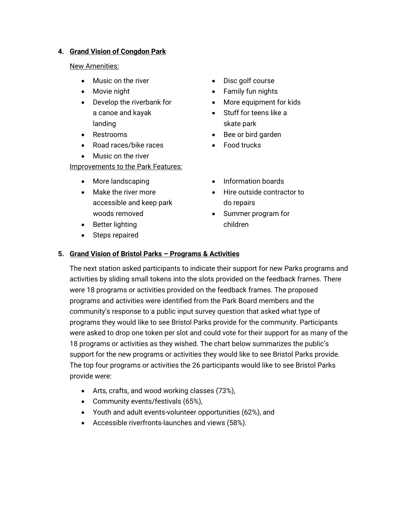#### **4. Grand Vision of Congdon Park**

New Amenities:

- Music on the river
- Movie night
- Develop the riverbank for a canoe and kayak landing
- Restrooms
- Road races/bike races
- Music on the river

Improvements to the Park Features:

- More landscaping
- Make the river more accessible and keep park woods removed
- Disc golf course
- Family fun nights
- More equipment for kids
- Stuff for teens like a skate park
- Bee or bird garden
- Food trucks
- Information boards
- Hire outside contractor to do repairs
- Summer program for children
- Better lighting
- Steps repaired

## **5. Grand Vision of Bristol Parks – Programs & Activities**

The next station asked participants to indicate their support for new Parks programs and activities by sliding small tokens into the slots provided on the feedback frames. There were 18 programs or activities provided on the feedback frames. The proposed programs and activities were identified from the Park Board members and the community's response to a public input survey question that asked what type of programs they would like to see Bristol Parks provide for the community. Participants were asked to drop one token per slot and could vote for their support for as many of the 18 programs or activities as they wished. The chart below summarizes the public's support for the new programs or activities they would like to see Bristol Parks provide. The top four programs or activities the 26 participants would like to see Bristol Parks provide were:

- Arts, crafts, and wood working classes (73%),
- Community events/festivals (65%),
- Youth and adult events-volunteer opportunities (62%), and
- Accessible riverfronts-launches and views (58%).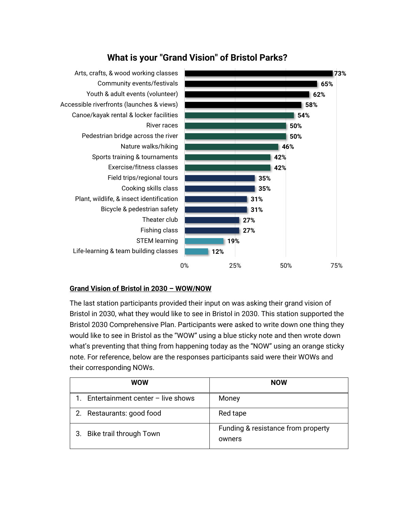

# **What is your "Grand Vision" of Bristol Parks?**

#### **Grand Vision of Bristol in 2030 – WOW/NOW**

The last station participants provided their input on was asking their grand vision of Bristol in 2030, what they would like to see in Bristol in 2030. This station supported the Bristol 2030 Comprehensive Plan. Participants were asked to write down one thing they would like to see in Bristol as the "WOW" using a blue sticky note and then wrote down what's preventing that thing from happening today as the "NOW" using an orange sticky note. For reference, below are the responses participants said were their WOWs and their corresponding NOWs.

| <b>WOW</b>                          | <b>NOW</b>                                   |
|-------------------------------------|----------------------------------------------|
| Entertainment center $-$ live shows | Money                                        |
| 2. Restaurants: good food           | Red tape                                     |
| 3. Bike trail through Town          | Funding & resistance from property<br>owners |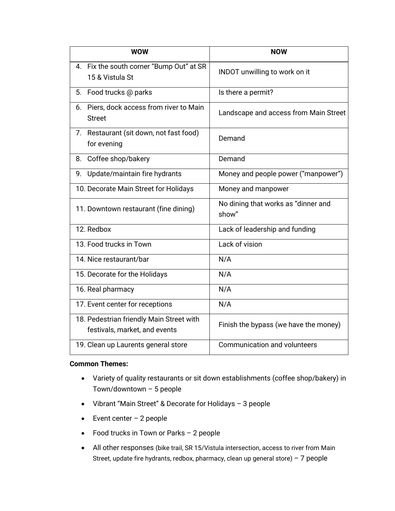| <b>WOW</b>                                                                | <b>NOW</b>                                   |
|---------------------------------------------------------------------------|----------------------------------------------|
| 4. Fix the south corner "Bump Out" at SR<br>15 & Vistula St               | INDOT unwilling to work on it                |
| 5. Food trucks @ parks                                                    | Is there a permit?                           |
| 6. Piers, dock access from river to Main<br><b>Street</b>                 | Landscape and access from Main Street        |
| 7. Restaurant (sit down, not fast food)<br>for evening                    | Demand                                       |
| 8. Coffee shop/bakery                                                     | Demand                                       |
| Update/maintain fire hydrants<br>9.                                       | Money and people power ("manpower")          |
| 10. Decorate Main Street for Holidays                                     | Money and manpower                           |
| 11. Downtown restaurant (fine dining)                                     | No dining that works as "dinner and<br>show" |
| 12. Redbox                                                                | Lack of leadership and funding               |
| 13. Food trucks in Town                                                   | Lack of vision                               |
| 14. Nice restaurant/bar                                                   | N/A                                          |
| 15. Decorate for the Holidays                                             | N/A                                          |
| 16. Real pharmacy                                                         | N/A                                          |
| 17. Event center for receptions                                           | N/A                                          |
| 18. Pedestrian friendly Main Street with<br>festivals, market, and events | Finish the bypass (we have the money)        |
| 19. Clean up Laurents general store                                       | <b>Communication and volunteers</b>          |

#### **Common Themes:**

- Variety of quality restaurants or sit down establishments (coffee shop/bakery) in Town/downtown – 5 people
- Vibrant "Main Street" & Decorate for Holidays 3 people
- $\bullet$  Event center 2 people
- Food trucks in Town or Parks 2 people
- All other responses (bike trail, SR 15/Vistula intersection, access to river from Main Street, update fire hydrants, redbox, pharmacy, clean up general store) – 7 people